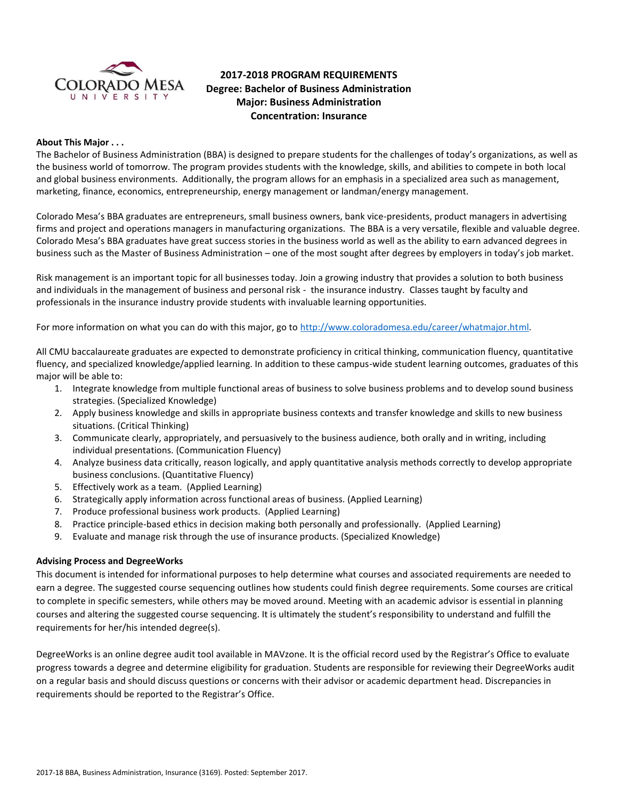

# **2017-2018 PROGRAM REQUIREMENTS Degree: Bachelor of Business Administration Major: Business Administration Concentration: Insurance**

# **About This Major . . .**

The Bachelor of Business Administration (BBA) is designed to prepare students for the challenges of today's organizations, as well as the business world of tomorrow. The program provides students with the knowledge, skills, and abilities to compete in both local and global business environments. Additionally, the program allows for an emphasis in a specialized area such as management, marketing, finance, economics, entrepreneurship, energy management or landman/energy management.

Colorado Mesa's BBA graduates are entrepreneurs, small business owners, bank vice-presidents, product managers in advertising firms and project and operations managers in manufacturing organizations. The BBA is a very versatile, flexible and valuable degree. Colorado Mesa's BBA graduates have great success stories in the business world as well as the ability to earn advanced degrees in business such as the Master of Business Administration – one of the most sought after degrees by employers in today's job market.

Risk management is an important topic for all businesses today. Join a growing industry that provides a solution to both business and individuals in the management of business and personal risk - the insurance industry. Classes taught by faculty and professionals in the insurance industry provide students with invaluable learning opportunities.

For more information on what you can do with this major, go to [http://www.coloradomesa.edu/career/whatmajor.html.](http://www.coloradomesa.edu/career/whatmajor.html)

All CMU baccalaureate graduates are expected to demonstrate proficiency in critical thinking, communication fluency, quantitative fluency, and specialized knowledge/applied learning. In addition to these campus-wide student learning outcomes, graduates of this major will be able to:

- 1. Integrate knowledge from multiple functional areas of business to solve business problems and to develop sound business strategies. (Specialized Knowledge)
- 2. Apply business knowledge and skills in appropriate business contexts and transfer knowledge and skills to new business situations. (Critical Thinking)
- 3. Communicate clearly, appropriately, and persuasively to the business audience, both orally and in writing, including individual presentations. (Communication Fluency)
- 4. Analyze business data critically, reason logically, and apply quantitative analysis methods correctly to develop appropriate business conclusions. (Quantitative Fluency)
- 5. Effectively work as a team. (Applied Learning)
- 6. Strategically apply information across functional areas of business. (Applied Learning)
- 7. Produce professional business work products. (Applied Learning)
- 8. Practice principle-based ethics in decision making both personally and professionally. (Applied Learning)
- 9. Evaluate and manage risk through the use of insurance products. (Specialized Knowledge)

# **Advising Process and DegreeWorks**

This document is intended for informational purposes to help determine what courses and associated requirements are needed to earn a degree. The suggested course sequencing outlines how students could finish degree requirements. Some courses are critical to complete in specific semesters, while others may be moved around. Meeting with an academic advisor is essential in planning courses and altering the suggested course sequencing. It is ultimately the student's responsibility to understand and fulfill the requirements for her/his intended degree(s).

DegreeWorks is an online degree audit tool available in MAVzone. It is the official record used by the Registrar's Office to evaluate progress towards a degree and determine eligibility for graduation. Students are responsible for reviewing their DegreeWorks audit on a regular basis and should discuss questions or concerns with their advisor or academic department head. Discrepancies in requirements should be reported to the Registrar's Office.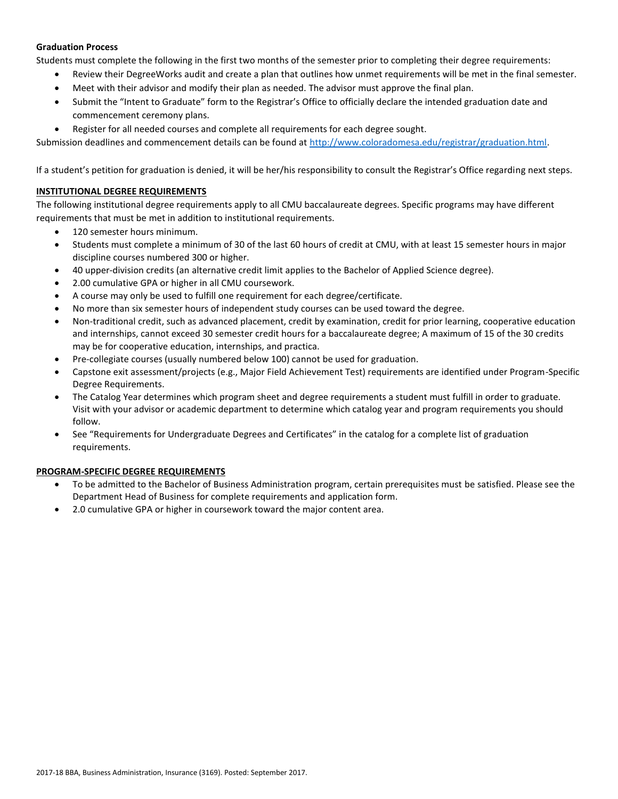# **Graduation Process**

Students must complete the following in the first two months of the semester prior to completing their degree requirements:

- Review their DegreeWorks audit and create a plan that outlines how unmet requirements will be met in the final semester.
- Meet with their advisor and modify their plan as needed. The advisor must approve the final plan.
- Submit the "Intent to Graduate" form to the Registrar's Office to officially declare the intended graduation date and commencement ceremony plans.
- Register for all needed courses and complete all requirements for each degree sought.

Submission deadlines and commencement details can be found at [http://www.coloradomesa.edu/registrar/graduation.html.](http://www.coloradomesa.edu/registrar/graduation.html)

If a student's petition for graduation is denied, it will be her/his responsibility to consult the Registrar's Office regarding next steps.

# **INSTITUTIONAL DEGREE REQUIREMENTS**

The following institutional degree requirements apply to all CMU baccalaureate degrees. Specific programs may have different requirements that must be met in addition to institutional requirements.

- 120 semester hours minimum.
- Students must complete a minimum of 30 of the last 60 hours of credit at CMU, with at least 15 semester hours in major discipline courses numbered 300 or higher.
- 40 upper-division credits (an alternative credit limit applies to the Bachelor of Applied Science degree).
- 2.00 cumulative GPA or higher in all CMU coursework.
- A course may only be used to fulfill one requirement for each degree/certificate.
- No more than six semester hours of independent study courses can be used toward the degree.
- Non-traditional credit, such as advanced placement, credit by examination, credit for prior learning, cooperative education and internships, cannot exceed 30 semester credit hours for a baccalaureate degree; A maximum of 15 of the 30 credits may be for cooperative education, internships, and practica.
- Pre-collegiate courses (usually numbered below 100) cannot be used for graduation.
- Capstone exit assessment/projects (e.g., Major Field Achievement Test) requirements are identified under Program-Specific Degree Requirements.
- The Catalog Year determines which program sheet and degree requirements a student must fulfill in order to graduate. Visit with your advisor or academic department to determine which catalog year and program requirements you should follow.
- See "Requirements for Undergraduate Degrees and Certificates" in the catalog for a complete list of graduation requirements.

### **PROGRAM-SPECIFIC DEGREE REQUIREMENTS**

- To be admitted to the Bachelor of Business Administration program, certain prerequisites must be satisfied. Please see the Department Head of Business for complete requirements and application form.
- 2.0 cumulative GPA or higher in coursework toward the major content area.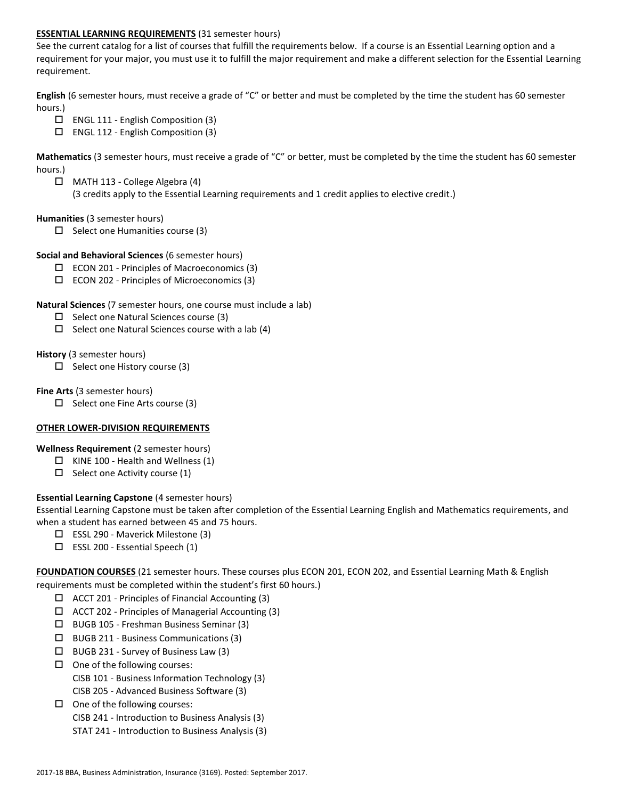# **ESSENTIAL LEARNING REQUIREMENTS** (31 semester hours)

See the current catalog for a list of courses that fulfill the requirements below. If a course is an Essential Learning option and a requirement for your major, you must use it to fulfill the major requirement and make a different selection for the Essential Learning requirement.

**English** (6 semester hours, must receive a grade of "C" or better and must be completed by the time the student has 60 semester hours.)

- $\Box$  ENGL 111 English Composition (3)
- $\Box$  ENGL 112 English Composition (3)

**Mathematics** (3 semester hours, must receive a grade of "C" or better, must be completed by the time the student has 60 semester hours.)

 MATH 113 - College Algebra (4) (3 credits apply to the Essential Learning requirements and 1 credit applies to elective credit.)

### **Humanities** (3 semester hours)

 $\Box$  Select one Humanities course (3)

# **Social and Behavioral Sciences** (6 semester hours)

- $\Box$  ECON 201 Principles of Macroeconomics (3)
- ECON 202 Principles of Microeconomics (3)

# **Natural Sciences** (7 semester hours, one course must include a lab)

- $\square$  Select one Natural Sciences course (3)
- $\Box$  Select one Natural Sciences course with a lab (4)

### **History** (3 semester hours)

 $\Box$  Select one History course (3)

# **Fine Arts** (3 semester hours)

 $\Box$  Select one Fine Arts course (3)

# **OTHER LOWER-DIVISION REQUIREMENTS**

# **Wellness Requirement** (2 semester hours)

- $\Box$  KINE 100 Health and Wellness (1)
- $\Box$  Select one Activity course (1)

# **Essential Learning Capstone** (4 semester hours)

Essential Learning Capstone must be taken after completion of the Essential Learning English and Mathematics requirements, and when a student has earned between 45 and 75 hours.

- $\Box$  ESSL 290 Maverick Milestone (3)
- $\square$  ESSL 200 Essential Speech (1)

**FOUNDATION COURSES** (21 semester hours. These courses plus ECON 201, ECON 202, and Essential Learning Math & English requirements must be completed within the student's first 60 hours.)

- $\Box$  ACCT 201 Principles of Financial Accounting (3)
- $\Box$  ACCT 202 Principles of Managerial Accounting (3)
- BUGB 105 Freshman Business Seminar (3)
- BUGB 211 Business Communications (3)
- $\Box$  BUGB 231 Survey of Business Law (3)
- $\Box$  One of the following courses: CISB 101 - Business Information Technology (3) CISB 205 - Advanced Business Software (3)
- $\Box$  One of the following courses:
	- CISB 241 Introduction to Business Analysis (3)
	- STAT 241 Introduction to Business Analysis (3)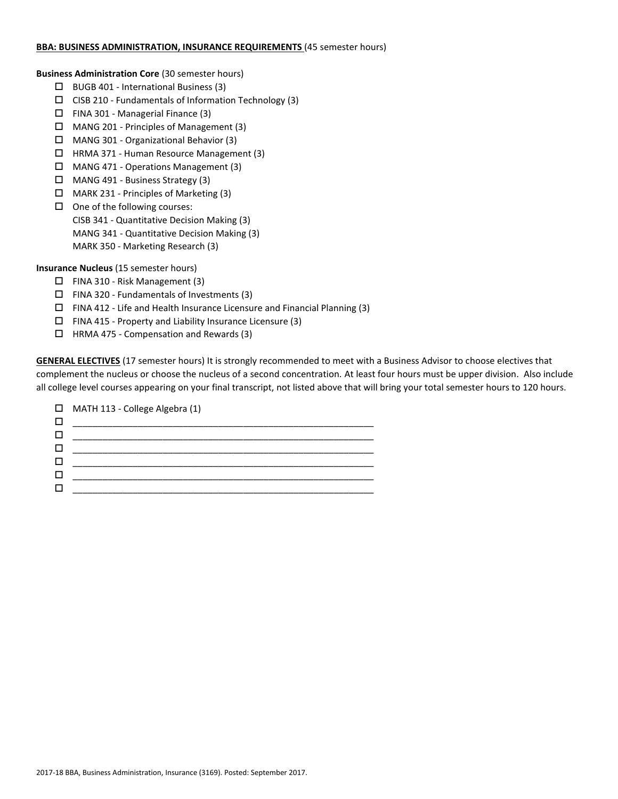### **BBA: BUSINESS ADMINISTRATION, INSURANCE REQUIREMENTS** (45 semester hours)

**Business Administration Core** (30 semester hours)

- $\Box$  BUGB 401 International Business (3)
- $\square$  CISB 210 Fundamentals of Information Technology (3)
- $\Box$  FINA 301 Managerial Finance (3)
- MANG 201 Principles of Management (3)
- MANG 301 Organizational Behavior (3)
- HRMA 371 Human Resource Management (3)
- MANG 471 Operations Management (3)
- MANG 491 Business Strategy (3)
- MARK 231 Principles of Marketing (3)
- $\Box$  One of the following courses: CISB 341 - Quantitative Decision Making (3) MANG 341 - Quantitative Decision Making (3) MARK 350 - Marketing Research (3)

**Insurance Nucleus** (15 semester hours)

- FINA 310 Risk Management (3)
- $\Box$  FINA 320 Fundamentals of Investments (3)
- FINA 412 Life and Health Insurance Licensure and Financial Planning (3)
- $\square$  FINA 415 Property and Liability Insurance Licensure (3)
- $\Box$  HRMA 475 Compensation and Rewards (3)

**GENERAL ELECTIVES** (17 semester hours) It is strongly recommended to meet with a Business Advisor to choose electives that complement the nucleus or choose the nucleus of a second concentration. At least four hours must be upper division. Also include all college level courses appearing on your final transcript, not listed above that will bring your total semester hours to 120 hours.